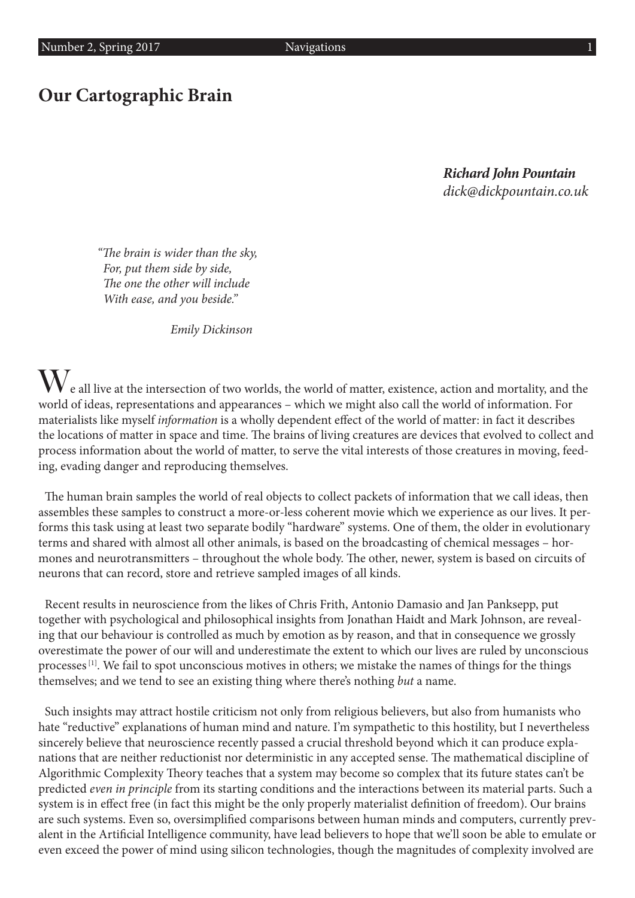# **Our Cartographic Brain**

*Richard John Pountain dick@dickpountain.co.uk*

*"The brain is wider than the sky, For, put them side by side, The one the other will include With ease, and you beside."*

 *Emily Dickinson*

 $\rm{W}_{e}$  all live at the intersection of two worlds, the world of matter, existence, action and mortality, and the world of ideas, representations and appearances – which we might also call the world of information. For materialists like myself *information* is a wholly dependent effect of the world of matter: in fact it describes the locations of matter in space and time. The brains of living creatures are devices that evolved to collect and process information about the world of matter, to serve the vital interests of those creatures in moving, feeding, evading danger and reproducing themselves.

The human brain samples the world of real objects to collect packets of information that we call ideas, then assembles these samples to construct a more-or-less coherent movie which we experience as our lives. It performs this task using at least two separate bodily "hardware" systems. One of them, the older in evolutionary terms and shared with almost all other animals, is based on the broadcasting of chemical messages – hormones and neurotransmitters – throughout the whole body. The other, newer, system is based on circuits of neurons that can record, store and retrieve sampled images of all kinds.

Recent results in neuroscience from the likes of Chris Frith, Antonio Damasio and Jan Panksepp, put together with psychological and philosophical insights from Jonathan Haidt and Mark Johnson, are revealing that our behaviour is controlled as much by emotion as by reason, and that in consequence we grossly overestimate the power of our will and underestimate the extent to which our lives are ruled by unconscious processes [1]. We fail to spot unconscious motives in others; we mistake the names of things for the things themselves; and we tend to see an existing thing where there's nothing *but* a name.

Such insights may attract hostile criticism not only from religious believers, but also from humanists who hate "reductive" explanations of human mind and nature. I'm sympathetic to this hostility, but I nevertheless sincerely believe that neuroscience recently passed a crucial threshold beyond which it can produce explanations that are neither reductionist nor deterministic in any accepted sense. The mathematical discipline of Algorithmic Complexity Theory teaches that a system may become so complex that its future states can't be predicted *even in principle* from its starting conditions and the interactions between its material parts. Such a system is in effect free (in fact this might be the only properly materialist definition of freedom). Our brains are such systems. Even so, oversimplified comparisons between human minds and computers, currently prevalent in the Artificial Intelligence community, have lead believers to hope that we'll soon be able to emulate or even exceed the power of mind using silicon technologies, though the magnitudes of complexity involved are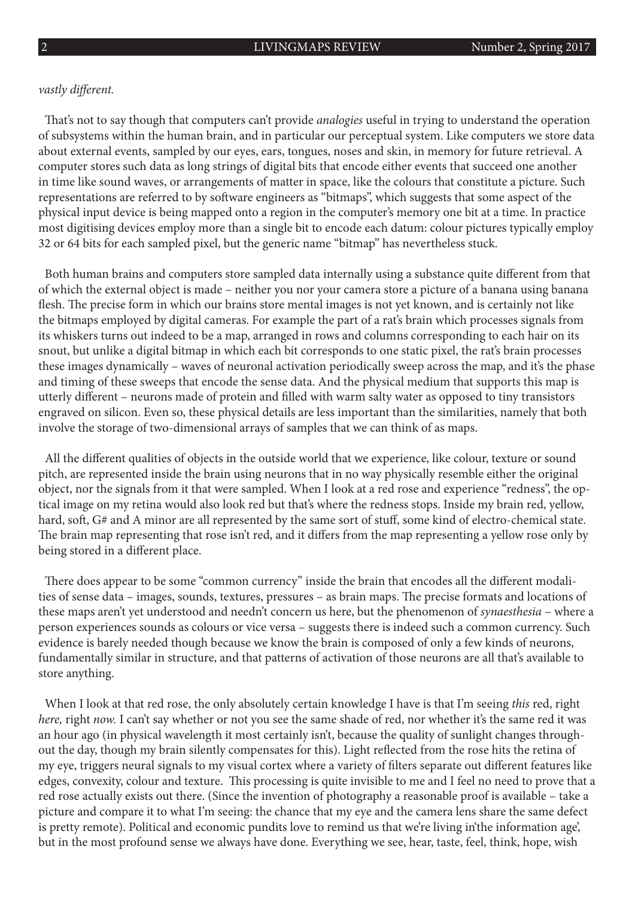### *vastly different.*

That's not to say though that computers can't provide *analogies* useful in trying to understand the operation of subsystems within the human brain, and in particular our perceptual system. Like computers we store data about external events, sampled by our eyes, ears, tongues, noses and skin, in memory for future retrieval. A computer stores such data as long strings of digital bits that encode either events that succeed one another in time like sound waves, or arrangements of matter in space, like the colours that constitute a picture. Such representations are referred to by software engineers as "bitmaps", which suggests that some aspect of the physical input device is being mapped onto a region in the computer's memory one bit at a time. In practice most digitising devices employ more than a single bit to encode each datum: colour pictures typically employ 32 or 64 bits for each sampled pixel, but the generic name "bitmap" has nevertheless stuck.

Both human brains and computers store sampled data internally using a substance quite different from that of which the external object is made – neither you nor your camera store a picture of a banana using banana flesh. The precise form in which our brains store mental images is not yet known, and is certainly not like the bitmaps employed by digital cameras. For example the part of a rat's brain which processes signals from its whiskers turns out indeed to be a map, arranged in rows and columns corresponding to each hair on its snout, but unlike a digital bitmap in which each bit corresponds to one static pixel, the rat's brain processes these images dynamically – waves of neuronal activation periodically sweep across the map, and it's the phase and timing of these sweeps that encode the sense data. And the physical medium that supports this map is utterly different – neurons made of protein and filled with warm salty water as opposed to tiny transistors engraved on silicon. Even so, these physical details are less important than the similarities, namely that both involve the storage of two-dimensional arrays of samples that we can think of as maps.

All the different qualities of objects in the outside world that we experience, like colour, texture or sound pitch, are represented inside the brain using neurons that in no way physically resemble either the original object, nor the signals from it that were sampled. When I look at a red rose and experience "redness", the optical image on my retina would also look red but that's where the redness stops. Inside my brain red, yellow, hard, soft, G# and A minor are all represented by the same sort of stuff, some kind of electro-chemical state. The brain map representing that rose isn't red, and it differs from the map representing a yellow rose only by being stored in a different place.

There does appear to be some "common currency" inside the brain that encodes all the different modalities of sense data – images, sounds, textures, pressures – as brain maps. The precise formats and locations of these maps aren't yet understood and needn't concern us here, but the phenomenon of *synaesthesia* – where a person experiences sounds as colours or vice versa – suggests there is indeed such a common currency. Such evidence is barely needed though because we know the brain is composed of only a few kinds of neurons, fundamentally similar in structure, and that patterns of activation of those neurons are all that's available to store anything.

When I look at that red rose, the only absolutely certain knowledge I have is that I'm seeing *this* red, right *here,* right *now.* I can't say whether or not you see the same shade of red, nor whether it's the same red it was an hour ago (in physical wavelength it most certainly isn't, because the quality of sunlight changes throughout the day, though my brain silently compensates for this). Light reflected from the rose hits the retina of my eye, triggers neural signals to my visual cortex where a variety of filters separate out different features like edges, convexity, colour and texture. This processing is quite invisible to me and I feel no need to prove that a red rose actually exists out there. (Since the invention of photography a reasonable proof is available – take a picture and compare it to what I'm seeing: the chance that my eye and the camera lens share the same defect is pretty remote). Political and economic pundits love to remind us that we're living in'the information age', but in the most profound sense we always have done. Everything we see, hear, taste, feel, think, hope, wish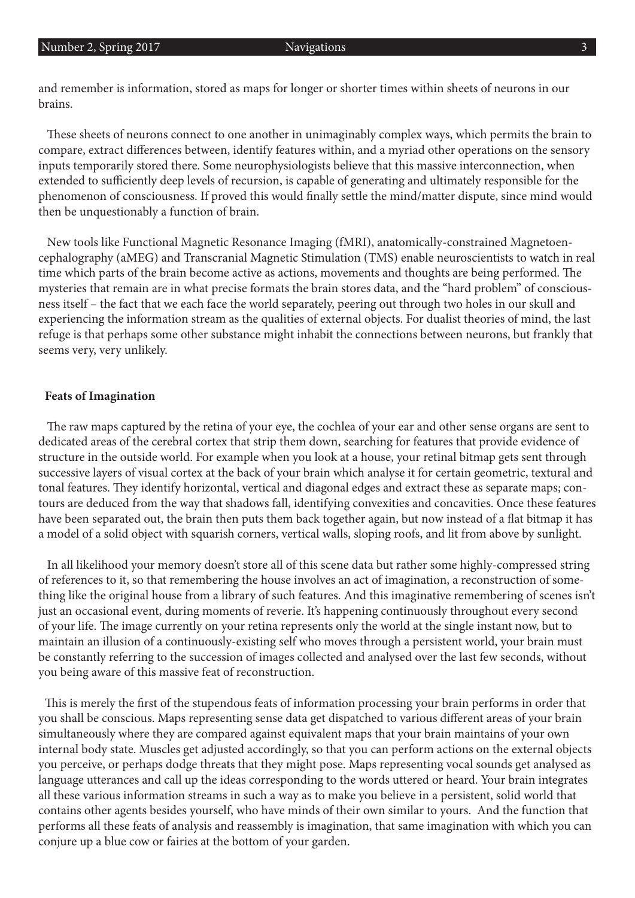and remember is information, stored as maps for longer or shorter times within sheets of neurons in our brains.

 These sheets of neurons connect to one another in unimaginably complex ways, which permits the brain to compare, extract differences between, identify features within, and a myriad other operations on the sensory inputs temporarily stored there. Some neurophysiologists believe that this massive interconnection, when extended to sufficiently deep levels of recursion, is capable of generating and ultimately responsible for the phenomenon of consciousness. If proved this would finally settle the mind/matter dispute, since mind would then be unquestionably a function of brain.

 New tools like Functional Magnetic Resonance Imaging (fMRI), anatomically-constrained Magnetoencephalography (aMEG) and Transcranial Magnetic Stimulation (TMS) enable neuroscientists to watch in real time which parts of the brain become active as actions, movements and thoughts are being performed. The mysteries that remain are in what precise formats the brain stores data, and the "hard problem" of consciousness itself – the fact that we each face the world separately, peering out through two holes in our skull and experiencing the information stream as the qualities of external objects. For dualist theories of mind, the last refuge is that perhaps some other substance might inhabit the connections between neurons, but frankly that seems very, very unlikely.

#### **Feats of Imagination**

 The raw maps captured by the retina of your eye, the cochlea of your ear and other sense organs are sent to dedicated areas of the cerebral cortex that strip them down, searching for features that provide evidence of structure in the outside world. For example when you look at a house, your retinal bitmap gets sent through successive layers of visual cortex at the back of your brain which analyse it for certain geometric, textural and tonal features. They identify horizontal, vertical and diagonal edges and extract these as separate maps; contours are deduced from the way that shadows fall, identifying convexities and concavities. Once these features have been separated out, the brain then puts them back together again, but now instead of a flat bitmap it has a model of a solid object with squarish corners, vertical walls, sloping roofs, and lit from above by sunlight.

 In all likelihood your memory doesn't store all of this scene data but rather some highly-compressed string of references to it, so that remembering the house involves an act of imagination, a reconstruction of something like the original house from a library of such features. And this imaginative remembering of scenes isn't just an occasional event, during moments of reverie. It's happening continuously throughout every second of your life. The image currently on your retina represents only the world at the single instant now, but to maintain an illusion of a continuously-existing self who moves through a persistent world, your brain must be constantly referring to the succession of images collected and analysed over the last few seconds, without you being aware of this massive feat of reconstruction.

This is merely the first of the stupendous feats of information processing your brain performs in order that you shall be conscious. Maps representing sense data get dispatched to various different areas of your brain simultaneously where they are compared against equivalent maps that your brain maintains of your own internal body state. Muscles get adjusted accordingly, so that you can perform actions on the external objects you perceive, or perhaps dodge threats that they might pose. Maps representing vocal sounds get analysed as language utterances and call up the ideas corresponding to the words uttered or heard. Your brain integrates all these various information streams in such a way as to make you believe in a persistent, solid world that contains other agents besides yourself, who have minds of their own similar to yours. And the function that performs all these feats of analysis and reassembly is imagination, that same imagination with which you can conjure up a blue cow or fairies at the bottom of your garden.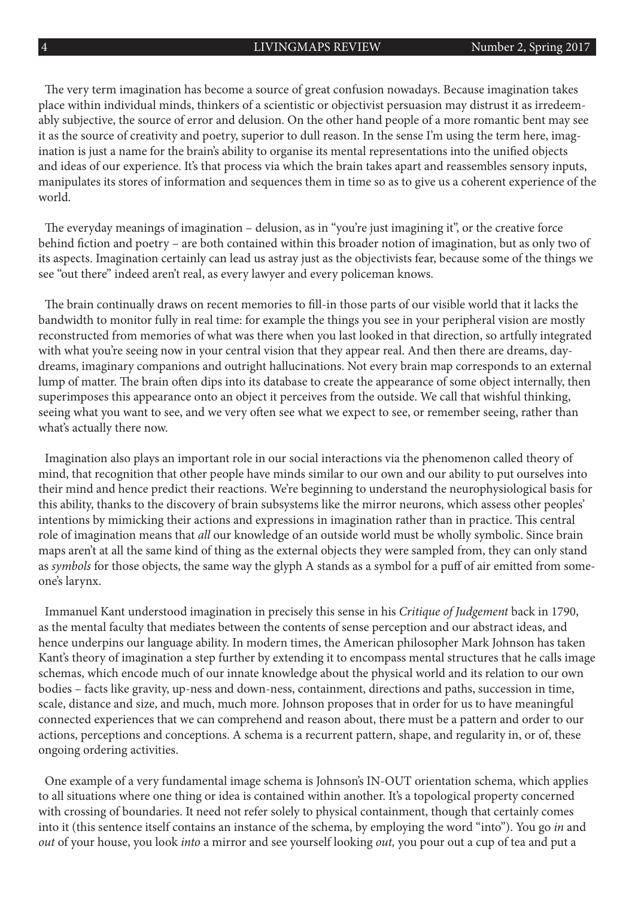The very term imagination has become a source of great confusion nowadays. Because imagination takes place within individual minds, thinkers of a scientistic or objectivist persuasion may distrust it as irredeemably subjective, the source of error and delusion. On the other hand people of a more romantic bent may see it as the source of creativity and poetry, superior to dull reason. In the sense I'm using the term here, imagination is just a name for the brain's ability to organise its mental representations into the unified objects and ideas of our experience. It's that process via which the brain takes apart and reassembles sensory inputs, manipulates its stores of information and sequences them in time so as to give us a coherent experience of the world.

The everyday meanings of imagination – delusion, as in "you're just imagining it", or the creative force behind fiction and poetry – are both contained within this broader notion of imagination, but as only two of its aspects. Imagination certainly can lead us astray just as the objectivists fear, because some of the things we see "out there" indeed aren't real, as every lawyer and every policeman knows.

The brain continually draws on recent memories to fill-in those parts of our visible world that it lacks the bandwidth to monitor fully in real time: for example the things you see in your peripheral vision are mostly reconstructed from memories of what was there when you last looked in that direction, so artfully integrated with what you're seeing now in your central vision that they appear real. And then there are dreams, daydreams, imaginary companions and outright hallucinations. Not every brain map corresponds to an external lump of matter. The brain often dips into its database to create the appearance of some object internally, then superimposes this appearance onto an object it perceives from the outside. We call that wishful thinking, seeing what you want to see, and we very often see what we expect to see, or remember seeing, rather than what's actually there now.

Imagination also plays an important role in our social interactions via the phenomenon called theory of mind, that recognition that other people have minds similar to our own and our ability to put ourselves into their mind and hence predict their reactions. We're beginning to understand the neurophysiological basis for this ability, thanks to the discovery of brain subsystems like the mirror neurons, which assess other peoples' intentions by mimicking their actions and expressions in imagination rather than in practice. This central role of imagination means that *all* our knowledge of an outside world must be wholly symbolic. Since brain maps aren't at all the same kind of thing as the external objects they were sampled from, they can only stand as *symbols* for those objects, the same way the glyph A stands as a symbol for a puff of air emitted from someone's larynx.

Immanuel Kant understood imagination in precisely this sense in his *Critique of Judgement* back in 1790, as the mental faculty that mediates between the contents of sense perception and our abstract ideas, and hence underpins our language ability. In modern times, the American philosopher Mark Johnson has taken Kant's theory of imagination a step further by extending it to encompass mental structures that he calls image schemas, which encode much of our innate knowledge about the physical world and its relation to our own bodies – facts like gravity, up-ness and down-ness, containment, directions and paths, succession in time, scale, distance and size, and much, much more. Johnson proposes that in order for us to have meaningful connected experiences that we can comprehend and reason about, there must be a pattern and order to our actions, perceptions and conceptions. A schema is a recurrent pattern, shape, and regularity in, or of, these ongoing ordering activities.

One example of a very fundamental image schema is Johnson's IN-OUT orientation schema, which applies to all situations where one thing or idea is contained within another. It's a topological property concerned with crossing of boundaries. It need not refer solely to physical containment, though that certainly comes into it (this sentence itself contains an instance of the schema, by employing the word "into"). You go *in* and *out* of your house, you look *into* a mirror and see yourself looking *out,* you pour out a cup of tea and put a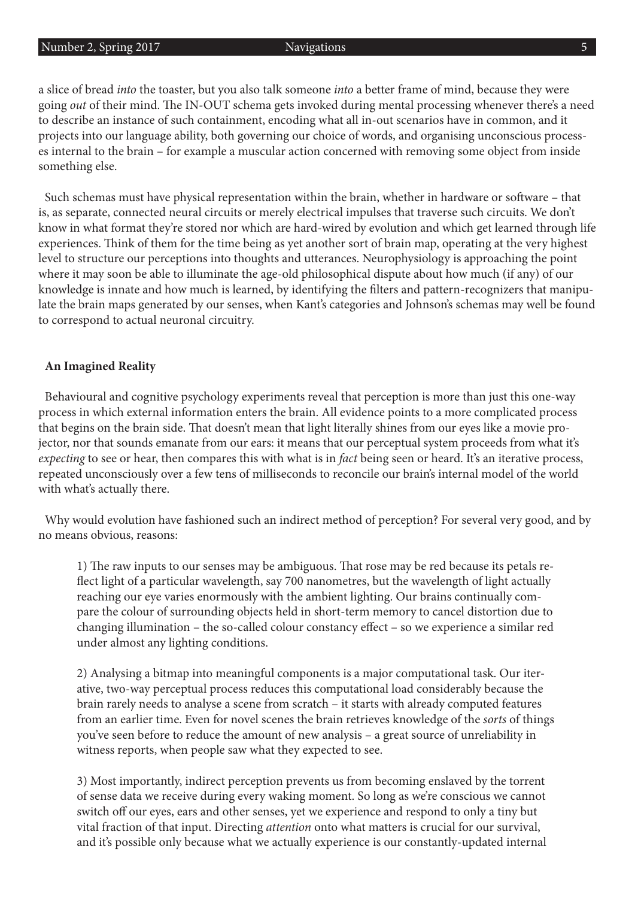## Number 2, Spring 2017 **Navigations** 5

a slice of bread *into* the toaster, but you also talk someone *into* a better frame of mind, because they were going *out* of their mind. The IN-OUT schema gets invoked during mental processing whenever there's a need to describe an instance of such containment, encoding what all in-out scenarios have in common, and it projects into our language ability, both governing our choice of words, and organising unconscious processes internal to the brain – for example a muscular action concerned with removing some object from inside something else.

Such schemas must have physical representation within the brain, whether in hardware or software – that is, as separate, connected neural circuits or merely electrical impulses that traverse such circuits. We don't know in what format they're stored nor which are hard-wired by evolution and which get learned through life experiences. Think of them for the time being as yet another sort of brain map, operating at the very highest level to structure our perceptions into thoughts and utterances. Neurophysiology is approaching the point where it may soon be able to illuminate the age-old philosophical dispute about how much (if any) of our knowledge is innate and how much is learned, by identifying the filters and pattern-recognizers that manipulate the brain maps generated by our senses, when Kant's categories and Johnson's schemas may well be found to correspond to actual neuronal circuitry.

# **An Imagined Reality**

Behavioural and cognitive psychology experiments reveal that perception is more than just this one-way process in which external information enters the brain. All evidence points to a more complicated process that begins on the brain side. That doesn't mean that light literally shines from our eyes like a movie projector, nor that sounds emanate from our ears: it means that our perceptual system proceeds from what it's *expecting* to see or hear, then compares this with what is in *fact* being seen or heard. It's an iterative process, repeated unconsciously over a few tens of milliseconds to reconcile our brain's internal model of the world with what's actually there.

Why would evolution have fashioned such an indirect method of perception? For several very good, and by no means obvious, reasons:

1) The raw inputs to our senses may be ambiguous. That rose may be red because its petals reflect light of a particular wavelength, say 700 nanometres, but the wavelength of light actually reaching our eye varies enormously with the ambient lighting. Our brains continually compare the colour of surrounding objects held in short-term memory to cancel distortion due to changing illumination – the so-called colour constancy effect – so we experience a similar red under almost any lighting conditions.

2) Analysing a bitmap into meaningful components is a major computational task. Our iterative, two-way perceptual process reduces this computational load considerably because the brain rarely needs to analyse a scene from scratch – it starts with already computed features from an earlier time. Even for novel scenes the brain retrieves knowledge of the *sorts* of things you've seen before to reduce the amount of new analysis – a great source of unreliability in witness reports, when people saw what they expected to see.

3) Most importantly, indirect perception prevents us from becoming enslaved by the torrent of sense data we receive during every waking moment. So long as we're conscious we cannot switch off our eyes, ears and other senses, yet we experience and respond to only a tiny but vital fraction of that input. Directing *attention* onto what matters is crucial for our survival, and it's possible only because what we actually experience is our constantly-updated internal